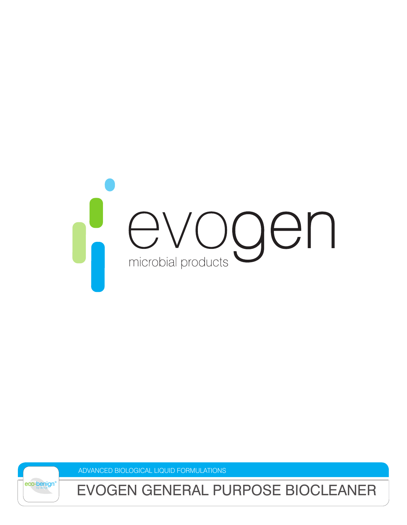

ADVANCED BIOLOGICAL LIQUID FORMULATIONS



EVOGEN GENERAL PURPOSE BIOCLEANER